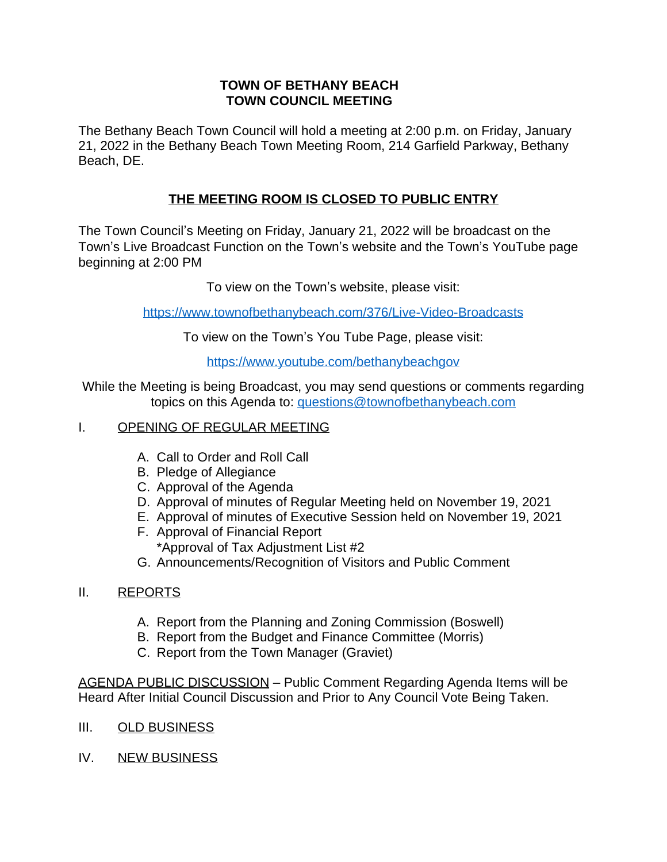## **TOWN OF BETHANY BEACH TOWN COUNCIL MEETING**

The Bethany Beach Town Council will hold a meeting at 2:00 p.m. on Friday, January 21, 2022 in the Bethany Beach Town Meeting Room, 214 Garfield Parkway, Bethany Beach, DE.

## **THE MEETING ROOM IS CLOSED TO PUBLIC ENTRY**

The Town Council's Meeting on Friday, January 21, 2022 will be broadcast on the Town's Live Broadcast Function on the Town's website and the Town's YouTube page beginning at 2:00 PM

To view on the Town's website, please visit:

<https://www.townofbethanybeach.com/376/Live-Video-Broadcasts>

To view on the Town'[s You Tube Page, please visit:](https://www.townofbethanybeach.com/376/Live-Video-Broadcasts)

<https://www.youtube.com/bethanybeachgov>

[While the Meeting is being Broadcast, you may send questions or comments regarding](https://www.youtube.com/bethanybeachgov) [topics on this Agenda to:](https://www.youtube.com/bethanybeachgov) [questions@townofbethanybeach.com](mailto:questions@townofbethanybeach.com?subject=Town%20Council%20Meeting%2001/21/2022)

## [I. OPENING OF REGULAR MEETING](mailto:questions@townofbethanybeach.com?subject=Town%20Council%20Meeting%2001/21/2022)

- A. [Call to Order and Roll Call](mailto:questions@townofbethanybeach.com?subject=Town%20Council%20Meeting%2001/21/2022)
- B. [Pledge of Allegiance](mailto:questions@townofbethanybeach.com?subject=Town%20Council%20Meeting%2001/21/2022)
- C. [Approval of the Agenda](mailto:questions@townofbethanybeach.com?subject=Town%20Council%20Meeting%2001/21/2022)
- D. [Approval of minutes of Regular Meeting held on November 19, 2021](mailto:questions@townofbethanybeach.com?subject=Town%20Council%20Meeting%2001/21/2022)
- E. [Approval of minutes of Executive Session held on November 19, 2021](mailto:questions@townofbethanybeach.com?subject=Town%20Council%20Meeting%2001/21/2022)
- F. [Approval of Financial Report](mailto:questions@townofbethanybeach.com?subject=Town%20Council%20Meeting%2001/21/2022) [\\*Approval of Tax Adjustment List #2](mailto:questions@townofbethanybeach.com?subject=Town%20Council%20Meeting%2001/21/2022)
- G. [Announcements/Recognition of Visitors and Public Comment](mailto:questions@townofbethanybeach.com?subject=Town%20Council%20Meeting%2001/21/2022)
- [II.](mailto:questions@townofbethanybeach.com?subject=Town%20Council%20Meeting%2001/21/2022) [REPORTS](mailto:questions@townofbethanybeach.com?subject=Town%20Council%20Meeting%2001/21/2022)
	- A. [Report from the Planning and Zoning Commission \(Boswell\)](mailto:questions@townofbethanybeach.com?subject=Town%20Council%20Meeting%2001/21/2022)
	- B. [Report from the Budget and Finance Committee \(Morris\)](mailto:questions@townofbethanybeach.com?subject=Town%20Council%20Meeting%2001/21/2022)
	- C. [Report from the Town Manager \(Graviet\)](mailto:questions@townofbethanybeach.com?subject=Town%20Council%20Meeting%2001/21/2022)

[AGENDA PUBLIC DISCUSSION](mailto:questions@townofbethanybeach.com?subject=Town%20Council%20Meeting%2001/21/2022) – [Public Comment Regarding Agenda Items will be](mailto:questions@townofbethanybeach.com?subject=Town%20Council%20Meeting%2001/21/2022)  [Heard After Initial Council Discussion and Prior to Any Council Vote Being Taken.](mailto:questions@townofbethanybeach.com?subject=Town%20Council%20Meeting%2001/21/2022)

- [III. OLD BUSINESS](mailto:questions@townofbethanybeach.com?subject=Town%20Council%20Meeting%2001/21/2022)
- [IV. NEW BUSINESS](mailto:questions@townofbethanybeach.com?subject=Town%20Council%20Meeting%2001/21/2022)